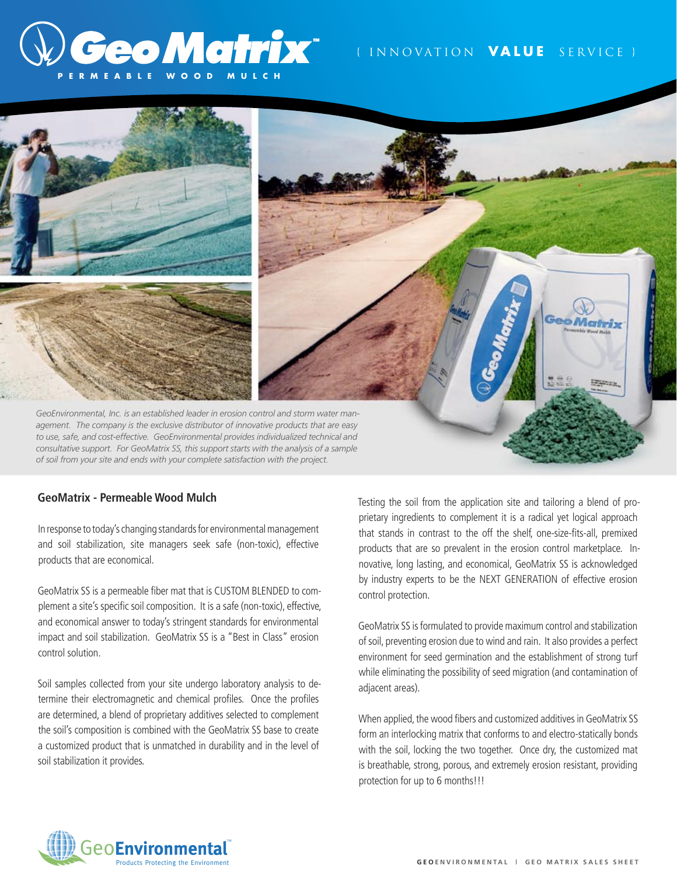# **Geo Matrix**\* **P E R M E A B L E W O O D M U L C H**

## { I N N O VAT I O N **V A L U E** S E R V I C E }



### **GeoMatrix - Permeable Wood Mulch**

In response to today's changing standards for environmental management and soil stabilization, site managers seek safe (non-toxic), effective products that are economical.

GeoMatrix SS is a permeable fiber mat that is CUSTOM BLENDED to complement a site's specific soil composition. It is a safe (non-toxic), effective, and economical answer to today's stringent standards for environmental impact and soil stabilization. GeoMatrix SS is a "Best in Class" erosion control solution.

Soil samples collected from your site undergo laboratory analysis to determine their electromagnetic and chemical profiles. Once the profiles are determined, a blend of proprietary additives selected to complement the soil's composition is combined with the GeoMatrix SS base to create a customized product that is unmatched in durability and in the level of soil stabilization it provides.

Testing the soil from the application site and tailoring a blend of proprietary ingredients to complement it is a radical yet logical approach that stands in contrast to the off the shelf, one-size-fits-all, premixed products that are so prevalent in the erosion control marketplace. Innovative, long lasting, and economical, GeoMatrix SS is acknowledged by industry experts to be the NEXT GENERATION of effective erosion control protection.

GeoMatrix SS is formulated to provide maximum control and stabilization of soil, preventing erosion due to wind and rain. It also provides a perfect environment for seed germination and the establishment of strong turf while eliminating the possibility of seed migration (and contamination of adjacent areas).

When applied, the wood fibers and customized additives in GeoMatrix SS form an interlocking matrix that conforms to and electro-statically bonds with the soil, locking the two together. Once dry, the customized mat is breathable, strong, porous, and extremely erosion resistant, providing protection for up to 6 months!!!